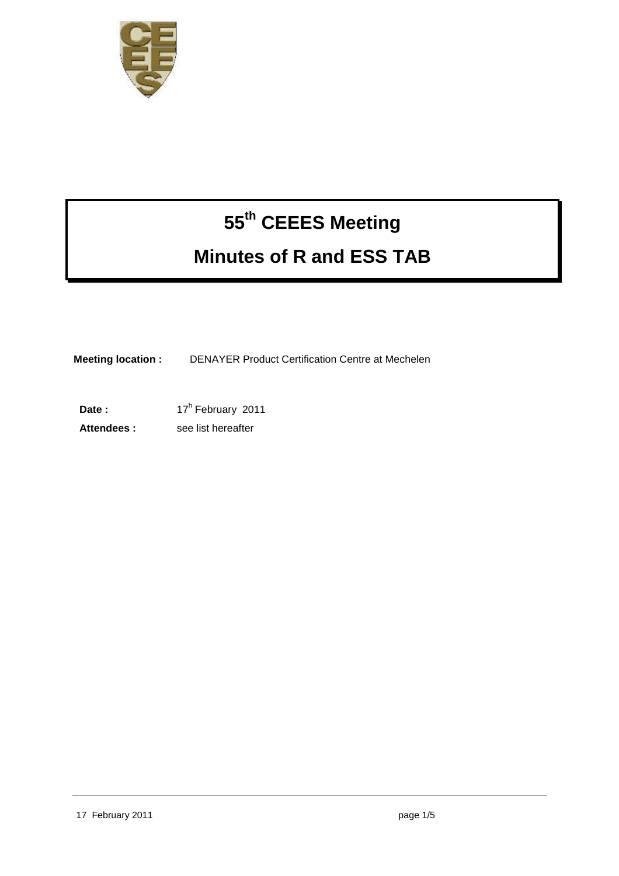

# **55th CEEES Meeting Minutes of R and ESS TAB**

**Meeting location :** DENAYER Product Certification Centre at Mechelen

Date : 17<sup>h</sup> February 2011

**Attendees :** see list hereafter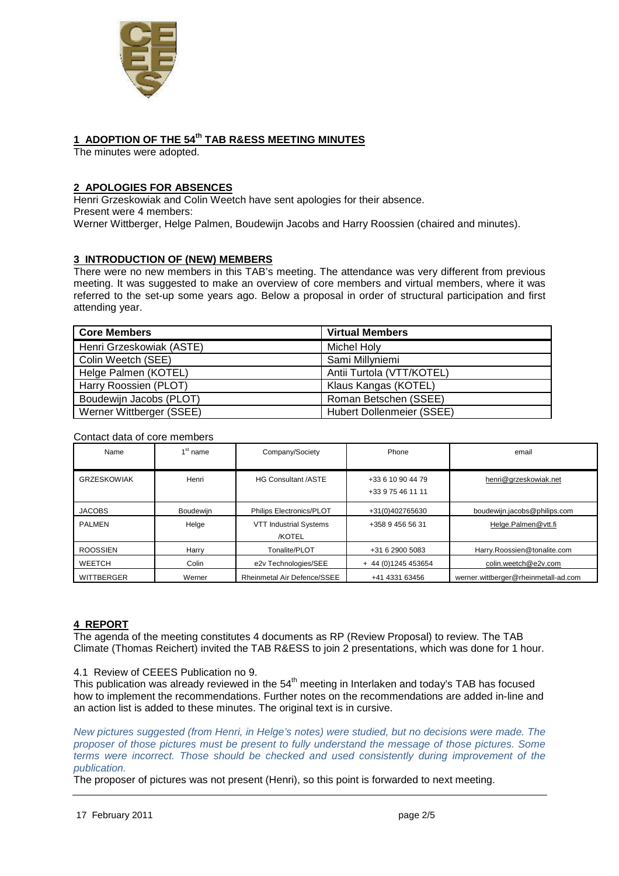

# **1 ADOPTION OF THE 54th TAB R&ESS MEETING MINUTES**

The minutes were adopted.

# **2 APOLOGIES FOR ABSENCES**

Henri Grzeskowiak and Colin Weetch have sent apologies for their absence. Present were 4 members: Werner Wittberger, Helge Palmen, Boudewijn Jacobs and Harry Roossien (chaired and minutes).

# **3 INTRODUCTION OF (NEW) MEMBERS**

There were no new members in this TAB's meeting. The attendance was very different from previous meeting. It was suggested to make an overview of core members and virtual members, where it was referred to the set-up some years ago. Below a proposal in order of structural participation and first attending year.

| <b>Core Members</b>      | <b>Virtual Members</b>    |  |
|--------------------------|---------------------------|--|
| Henri Grzeskowiak (ASTE) | Michel Holy               |  |
| Colin Weetch (SEE)       | Sami Millyniemi           |  |
| Helge Palmen (KOTEL)     | Antii Turtola (VTT/KOTEL) |  |
| Harry Roossien (PLOT)    | Klaus Kangas (KOTEL)      |  |
| Boudewijn Jacobs (PLOT)  | Roman Betschen (SSEE)     |  |
| Werner Wittberger (SSEE) | Hubert Dollenmeier (SSEE) |  |

#### Contact data of core members

| Name               | $1st$ name       | Company/Society                         | Phone                                  | email                                |
|--------------------|------------------|-----------------------------------------|----------------------------------------|--------------------------------------|
| <b>GRZESKOWIAK</b> | Henri            | <b>HG Consultant /ASTE</b>              | +33 6 10 90 44 79<br>+33 9 75 46 11 11 | henri@grzeskowiak.net                |
| <b>JACOBS</b>      | <b>Boudewijn</b> | Philips Electronics/PLOT                | +31(0)402765630                        | boudewijn.jacobs@philips.com         |
| <b>PALMEN</b>      | Helge            | <b>VTT Industrial Systems</b><br>/KOTEL | +358 9 456 56 31                       | Helge.Palmen@vtt.fi                  |
| <b>ROOSSIEN</b>    | Harry            | Tonalite/PLOT                           | +31 6 2900 5083                        | Harry.Roossien@tonalite.com          |
| <b>WEETCH</b>      | Colin            | e2v Technologies/SEE                    | + 44 (0) 1245 453654                   | colin.weetch@e2v.com                 |
| <b>WITTBERGER</b>  | Werner           | Rheinmetal Air Defence/SSEE             | +41 4331 63456                         | werner.wittberger@rheinmetall-ad.com |

## **4 REPORT**

The agenda of the meeting constitutes 4 documents as RP (Review Proposal) to review. The TAB Climate (Thomas Reichert) invited the TAB R&ESS to join 2 presentations, which was done for 1 hour.

#### 4.1 Review of CEEES Publication no 9.

This publication was already reviewed in the  $54<sup>th</sup>$  meeting in Interlaken and today's TAB has focused how to implement the recommendations. Further notes on the recommendations are added in-line and an action list is added to these minutes. The original text is in cursive.

New pictures suggested (from Henri, in Helge's notes) were studied, but no decisions were made. The proposer of those pictures must be present to fully understand the message of those pictures. Some terms were incorrect. Those should be checked and used consistently during improvement of the publication.

The proposer of pictures was not present (Henri), so this point is forwarded to next meeting.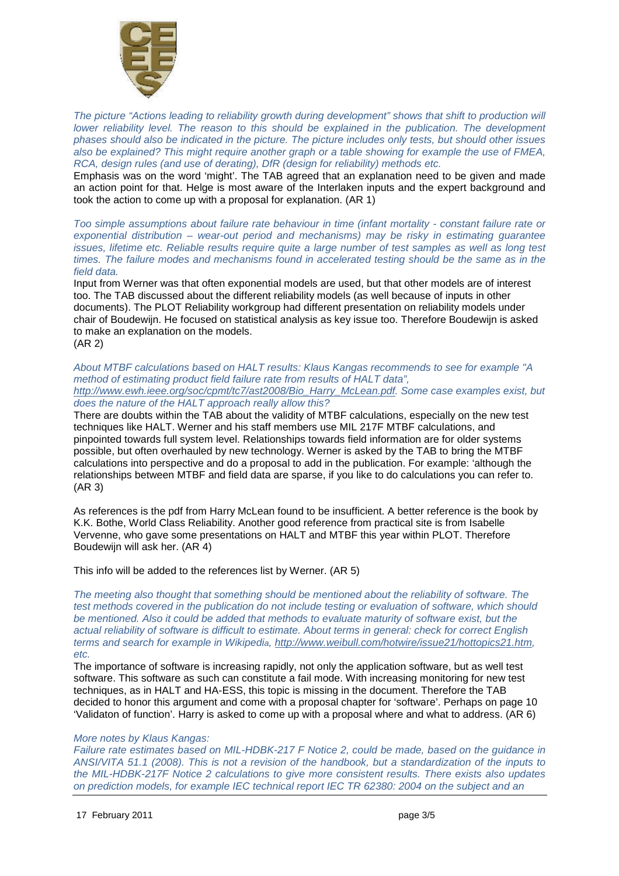

The picture "Actions leading to reliability growth during development" shows that shift to production will lower reliability level. The reason to this should be explained in the publication. The development phases should also be indicated in the picture. The picture includes only tests, but should other issues also be explained? This might require another graph or a table showing for example the use of FMEA, RCA, design rules (and use of derating), DfR (design for reliability) methods etc.

Emphasis was on the word 'might'. The TAB agreed that an explanation need to be given and made an action point for that. Helge is most aware of the Interlaken inputs and the expert background and took the action to come up with a proposal for explanation. (AR 1)

Too simple assumptions about failure rate behaviour in time (infant mortality - constant failure rate or exponential distribution – wear-out period and mechanisms) may be risky in estimating guarantee issues, lifetime etc. Reliable results require quite a large number of test samples as well as long test times. The failure modes and mechanisms found in accelerated testing should be the same as in the field data.

Input from Werner was that often exponential models are used, but that other models are of interest too. The TAB discussed about the different reliability models (as well because of inputs in other documents). The PLOT Reliability workgroup had different presentation on reliability models under chair of Boudewijn. He focused on statistical analysis as key issue too. Therefore Boudewijn is asked to make an explanation on the models. (AR 2)

#### About MTBF calculations based on HALT results: Klaus Kangas recommends to see for example "A method of estimating product field failure rate from results of HALT data", http://www.ewh.ieee.org/soc/cpmt/tc7/ast2008/Bio\_Harry\_McLean.pdf. Some case examples exist, but does the nature of the HALT approach really allow this?

There are doubts within the TAB about the validity of MTBF calculations, especially on the new test techniques like HALT. Werner and his staff members use MIL 217F MTBF calculations, and pinpointed towards full system level. Relationships towards field information are for older systems possible, but often overhauled by new technology. Werner is asked by the TAB to bring the MTBF calculations into perspective and do a proposal to add in the publication. For example: 'although the relationships between MTBF and field data are sparse, if you like to do calculations you can refer to. (AR 3)

As references is the pdf from Harry McLean found to be insufficient. A better reference is the book by K.K. Bothe, World Class Reliability. Another good reference from practical site is from Isabelle Vervenne, who gave some presentations on HALT and MTBF this year within PLOT. Therefore Boudewijn will ask her. (AR 4)

This info will be added to the references list by Werner. (AR 5)

The meeting also thought that something should be mentioned about the reliability of software. The test methods covered in the publication do not include testing or evaluation of software, which should be mentioned. Also it could be added that methods to evaluate maturity of software exist, but the actual reliability of software is difficult to estimate. About terms in general: check for correct English terms and search for example in Wikipedia, http://www.weibull.com/hotwire/issue21/hottopics21.htm, etc.

The importance of software is increasing rapidly, not only the application software, but as well test software. This software as such can constitute a fail mode. With increasing monitoring for new test techniques, as in HALT and HA-ESS, this topic is missing in the document. Therefore the TAB decided to honor this argument and come with a proposal chapter for 'software'. Perhaps on page 10 'Validaton of function'. Harry is asked to come up with a proposal where and what to address. (AR 6)

## More notes by Klaus Kangas:

Failure rate estimates based on MIL-HDBK-217 F Notice 2, could be made, based on the guidance in ANSI/VITA 51.1 (2008). This is not a revision of the handbook, but a standardization of the inputs to the MIL-HDBK-217F Notice 2 calculations to give more consistent results. There exists also updates on prediction models, for example IEC technical report IEC TR 62380: 2004 on the subject and an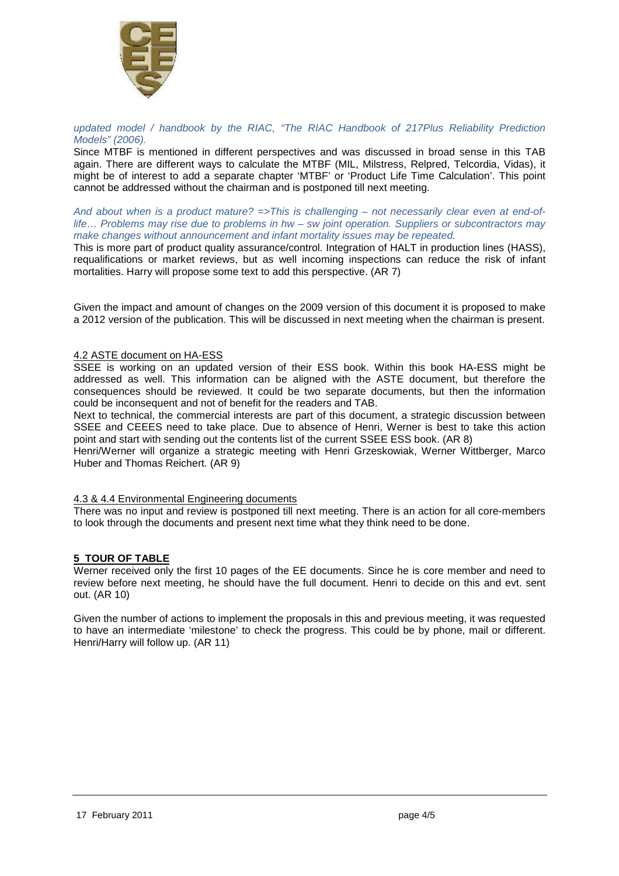

#### updated model / handbook by the RIAC, "The RIAC Handbook of 217Plus Reliability Prediction Models" (2006).

Since MTBF is mentioned in different perspectives and was discussed in broad sense in this TAB again. There are different ways to calculate the MTBF (MIL, Milstress, Relpred, Telcordia, Vidas), it might be of interest to add a separate chapter 'MTBF' or 'Product Life Time Calculation'. This point cannot be addressed without the chairman and is postponed till next meeting.

And about when is a product mature?  $\Rightarrow$ This is challenging – not necessarily clear even at end-oflife… Problems may rise due to problems in hw – sw joint operation. Suppliers or subcontractors may make changes without announcement and infant mortality issues may be repeated.

This is more part of product quality assurance/control. Integration of HALT in production lines (HASS), requalifications or market reviews, but as well incoming inspections can reduce the risk of infant mortalities. Harry will propose some text to add this perspective. (AR 7)

Given the impact and amount of changes on the 2009 version of this document it is proposed to make a 2012 version of the publication. This will be discussed in next meeting when the chairman is present.

### 4.2 ASTE document on HA-ESS

SSEE is working on an updated version of their ESS book. Within this book HA-ESS might be addressed as well. This information can be aligned with the ASTE document, but therefore the consequences should be reviewed. It could be two separate documents, but then the information could be inconsequent and not of benefit for the readers and TAB.

Next to technical, the commercial interests are part of this document, a strategic discussion between SSEE and CEEES need to take place. Due to absence of Henri, Werner is best to take this action point and start with sending out the contents list of the current SSEE ESS book. (AR 8)

Henri/Werner will organize a strategic meeting with Henri Grzeskowiak, Werner Wittberger, Marco Huber and Thomas Reichert. (AR 9)

#### 4.3 & 4.4 Environmental Engineering documents

There was no input and review is postponed till next meeting. There is an action for all core-members to look through the documents and present next time what they think need to be done.

## **5 TOUR OF TABLE**

Werner received only the first 10 pages of the EE documents. Since he is core member and need to review before next meeting, he should have the full document. Henri to decide on this and evt. sent out. (AR 10)

Given the number of actions to implement the proposals in this and previous meeting, it was requested to have an intermediate 'milestone' to check the progress. This could be by phone, mail or different. Henri/Harry will follow up. (AR 11)